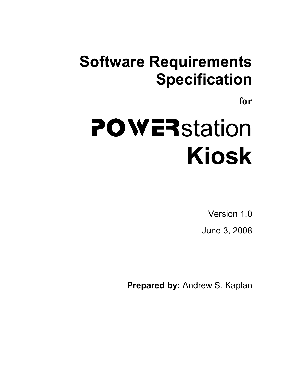# **Software Requirements Specification**

**for** 

# POWER<sub>station</sub> **Kiosk**

Version 1.0 June 3, 2008

**Prepared by:** Andrew S. Kaplan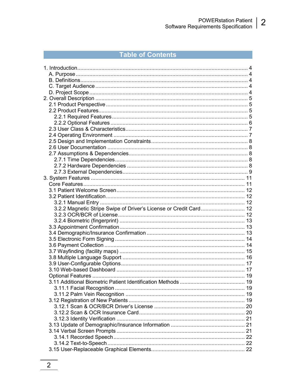#### Table of Contents

| 3.2.2 Magnetic Stripe Swipe of Driver's License or Credit Card 12 |  |
|-------------------------------------------------------------------|--|
|                                                                   |  |
|                                                                   |  |
|                                                                   |  |
|                                                                   |  |
|                                                                   |  |
|                                                                   |  |
|                                                                   |  |
|                                                                   |  |
|                                                                   |  |
|                                                                   |  |
|                                                                   |  |
|                                                                   |  |
|                                                                   |  |
|                                                                   |  |
|                                                                   |  |
|                                                                   |  |
|                                                                   |  |
|                                                                   |  |
|                                                                   |  |
|                                                                   |  |
|                                                                   |  |
|                                                                   |  |
|                                                                   |  |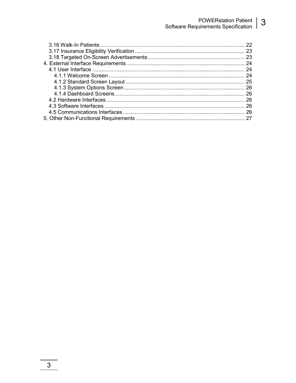## POWERstation Patient | 3<br>Software Requirements Specification

| 22  |
|-----|
|     |
|     |
|     |
|     |
| 24  |
|     |
|     |
|     |
| -26 |
|     |
|     |
|     |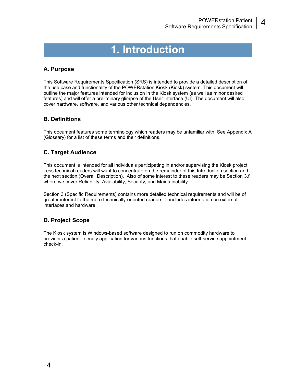## **1. Introduction**

#### **A. Purpose**

This Software Requirements Specification (SRS) is intended to provide a detailed description of the use case and functionality of the POWERstation Kiosk (Kiosk) system. This document will outline the major features intended for inclusion in the Kiosk system (as well as minor desired features) and will offer a preliminary glimpse of the User Interface (UI). The document will also cover hardware, software, and various other technical dependencies.

#### **B. Definitions**

This document features some terminology which readers may be unfamiliar with. See Appendix A (Glossary) for a list of these terms and their definitions.

#### **C. Target Audience**

This document is intended for all individuals participating in and/or supervising the Kiosk project. Less technical readers will want to concentrate on the remainder of this Introduction section and the next section (Overall Description). Also of some interest to these readers may be Section 3.f where we cover Reliability, Availability, Security, and Maintainability.

Section 3 (Specific Requirements) contains more detailed technical requirements and will be of greater interest to the more technically-oriented readers. It includes information on external interfaces and hardware.

#### **D. Project Scope**

The Kiosk system is Windows-based software designed to run on commodity hardware to provider a patient-friendly application for various functions that enable self-service appointment check-in.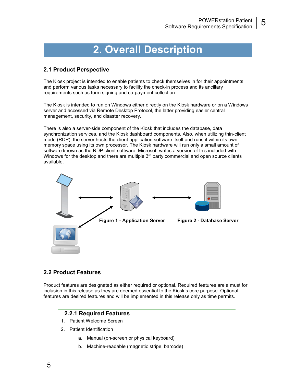## **2. Overall Description**

#### **2.1 Product Perspective**

The Kiosk project is intended to enable patients to check themselves in for their appointments and perform various tasks necessary to facility the check-in process and its ancillary requirements such as form signing and co-payment collection.

The Kiosk is intended to run on Windows either directly on the Kiosk hardware or on a Windows server and accessed via Remote Desktop Protocol, the latter providing easier central management, security, and disaster recovery.

There is also a server-side component of the Kiosk that includes the database, data synchronization services, and the Kiosk dashboard components. Also, when utilizing thin-client mode (RDP), the server hosts the client application software itself and runs it within its own memory space using its own processor. The Kiosk hardware will run only a small amount of software known as the RDP client software. Microsoft writes a version of this included with Windows for the desktop and there are multiple  $3<sup>rd</sup>$  party commercial and open source clients available.



#### **2.2 Product Features**

Product features are designated as either required or optional. Required features are a must for inclusion in this release as they are deemed essential to the Kiosk's core purpose. Optional features are desired features and will be implemented in this release only as time permits.

#### **2.2.1 Required Features**

- 1. Patient Welcome Screen
- 2. Patient Identification
	- a. Manual (on-screen or physical keyboard)
	- b. Machine-readable (magnetic stripe, barcode)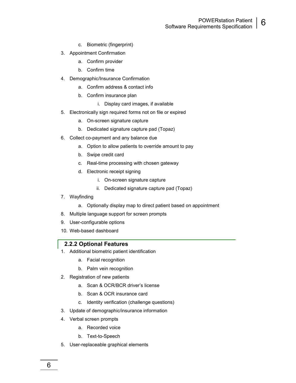- POWERstation Patient **Software Requirements Specification 6**
- c. Biometric (fingerprint)
- 3. Appointment Confirmation
	- a. Confirm provider
	- b. Confirm time
- 4. Demographic/Insurance Confirmation
	- a. Confirm address & contact info
	- b. Confirm insurance plan
		- i. Display card images, if available
- 5. Electronically sign required forms not on file or expired
	- a. On-screen signature capture
	- b. Dedicated signature capture pad (Topaz)
- 6. Collect co-payment and any balance due
	- a. Option to allow patients to override amount to pay
	- b. Swipe credit card
	- c. Real-time processing with chosen gateway
	- d. Electronic receipt signing
		- i. On-screen signature capture
		- ii. Dedicated signature capture pad (Topaz)
- 7. Wayfinding
	- a. Optionally display map to direct patient based on appointment
- 8. Multiple language support for screen prompts
- 9. User-configurable options
- 10. Web-based dashboard

#### **2.2.2 Optional Features**

- 1. Additional biometric patient identification
	- a. Facial recognition
	- b. Palm vein recognition
- 2. Registration of new patients
	- a. Scan & OCR/BCR driver's license
	- b. Scan & OCR insurance card
	- c. Identity verification (challenge questions)
- 3. Update of demographic/insurance information
- 4. Verbal screen prompts

6

- a. Recorded voice
- b. Text-to-Speech
- 5. User-replaceable graphical elements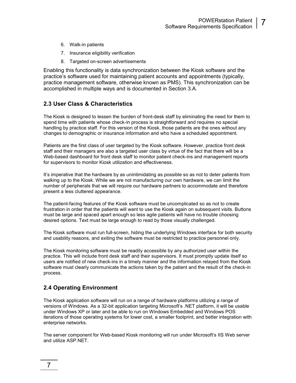- 6. Walk-in patients
- 7. Insurance eligibility verification
- 8. Targeted on-screen advertisements

Enabling this functionality is data synchronization between the Kiosk software and the practice's software used for maintaining patient accounts and appointments (typically, practice management software, otherwise known as PMS). This synchronization can be accomplished in multiple ways and is documented in Section 3.A.

#### **2.3 User Class & Characteristics**

The Kiosk is designed to lessen the burden of front-desk staff by eliminating the need for them to spend time with patients whose check-in process is straightforward and requires no special handling by practice staff. For this version of the Kiosk, those patients are the ones without any changes to demographic or insurance information and who have a scheduled appointment.

Patients are the first class of user targeted by the Kiosk software. However, practice front desk staff and their managers are also a targeted user class by virtue of the fact that there will be a Web-based dashboard for front desk staff to monitor patient check-ins and management reports for supervisors to monitor Kiosk utilization and effectiveness.

It's imperative that the hardware by as unintimidating as possible so as not to deter patients from walking up to the Kiosk. While we are not manufacturing our own hardware, we can limit the number of peripherals that we will require our hardware partners to accommodate and therefore present a less cluttered appearance.

The patient-facing features of the Kiosk software must be uncomplicated so as not to create frustration in order that the patients will want to use the Kiosk again on subsequent visits. Buttons must be large and spaced apart enough so less agile patients will have no trouble choosing desired options. Text must be large enough to read by those visually challenged.

The Kiosk software must run full-screen, hiding the underlying Windows interface for both security and usability reasons, and exiting the software must be restricted to practice personnel only.

The Kiosk monitoring software must be readily accessible by any authorized user within the practice. This will include front desk staff and their supervisors. It must promptly update itself so users are notified of new check-ins in a timely manner and the information relayed from the Kiosk software must clearly communicate the actions taken by the patient and the result of the check-in process.

#### **2.4 Operating Environment**

The Kiosk application software will run on a range of hardware platforms utilizing a range of versions of Windows. As a 32-bit application targeting Microsoft's .NET platform, it will be usable under Windows XP or later and be able to run on Windows Embedded and Windows POS iterations of those operating systems for lower cost, a smaller footprint, and better integration with enterprise networks.

The server component for Web-based Kiosk monitoring will run under Microsoft's IIS Web server and utilize ASP.NET.

7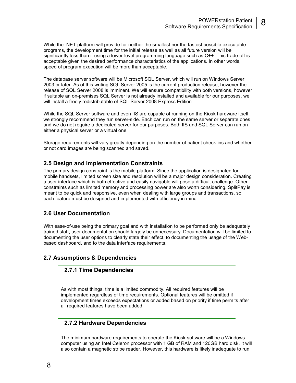While the .NET platform will provide for neither the smallest nor the fastest possible executable programs, the development time for the initial release as well as all future version will be significantly less than if using a lower-level programming language such as C++. This trade-off is acceptable given the desired performance characteristics of the applications. In other words, speed of program execution will be more than acceptable.

The database server software will be Microsoft SQL Server, which will run on Windows Server 2003 or later. As of this writing SQL Server 2005 is the current production release, however the release of SQL Server 2008 is imminent. We will ensure compatibility with both versions, however if suitable an on-premises SQL Server is not already installed and available for our purposes, we will install a freely redistributable of SQL Server 2008 Express Edition.

While the SQL Server software and even IIS are capable of running on the Kiosk hardware itself, we strongly recommend they run server-side. Each can run on the same server or separate ones and we do not require a dedicated server for our purposes. Both IIS and SQL Server can run on either a physical server or a virtual one.

Storage requirements will vary greatly depending on the number of patient check-ins and whether or not card images are being scanned and saved.

#### **2.5 Design and Implementation Constraints**

The primary design constraint is the mobile platform. Since the application is designated for mobile handsets, limited screen size and resolution will be a major design consideration. Creating a user interface which is both effective and easily navigable will pose a difficult challenge. Other constraints such as limited memory and processing power are also worth considering. SplitPay is meant to be quick and responsive, even when dealing with large groups and transactions, so each feature must be designed and implemented with efficiency in mind.

#### **2.6 User Documentation**

With ease-of-use being the primary goal and with installation to be performed only be adequately trained staff, user documentation should largely be unnecessary. Documentation will be limited to documenting the user options to clearly state their effect, to documenting the usage of the Webbased dashboard, and to the data interface requirements.

#### **2.7 Assumptions & Dependencies**

#### **2.7.1 Time Dependencies**

As with most things, time is a limited commodity. All required features will be implemented regardless of time requirements. Optional features will be omitted if development times exceeds expectations or added based on priority if time permits after all required features have been added.

#### **2.7.2 Hardware Dependencies**

The minimum hardware requirements to operate the Kiosk software will be a Windows computer using an Intel Celeron processor with 1 GB of RAM and 120GB hard disk. It will also contain a magnetic stripe reader. However, this hardware is likely inadequate to run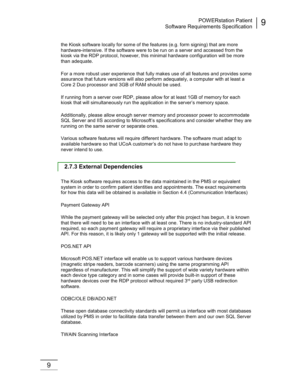the Kiosk software locally for some of the features (e.g. form signing) that are more hardware-intensive. If the software were to be run on a server and accessed from the kiosk via the RDP protocol, however, this minimal hardware configuration will be more than adequate.

For a more robust user experience that fully makes use of all features and provides some assurance that future versions will also perform adequately, a computer with at least a Core 2 Duo processor and 3GB of RAM should be used.

If running from a server over RDP, please allow for at least 1GB of memory for each kiosk that will simultaneously run the application in the server's memory space.

Additionally, please allow enough server memory and processor power to accommodate SQL Server and IIS according to Microsoft's specifications and consider whether they are running on the same server or separate ones.

Various software features will require different hardware. The software must adapt to available hardware so that UCoA customer's do not have to purchase hardware they never intend to use.

#### **2.7.3 External Dependencies**

The Kiosk software requires access to the data maintained in the PMS or equivalent system in order to confirm patient identities and appointments. The exact requirements for how this data will be obtained is available in Section 4.4 (Communication Interfaces)

Payment Gateway API

While the payment gateway will be selected only after this project has begun, it is known that there will need to be an interface with at least one. There is no industry-standard API required, so each payment gateway will require a proprietary interface via their published API. For this reason, it is likely only 1 gateway will be supported with the initial release.

POS.NET API

Microsoft POS.NET interface will enable us to support various hardware devices (magnetic stripe readers, barcode scanners) using the same programming API regardless of manufacturer. This will simplify the support of wide variety hardware within each device type category and in some cases will provide built-in support of these hardware devices over the RDP protocol without required  $3<sup>rd</sup>$  party USB redirection software.

#### ODBC/OLE DB/ADO.NET

These open database connectivity standards will permit us interface with most databases utilized by PMS in order to facilitate data transfer between them and our own SQL Server database.

TWAIN Scanning Interface

9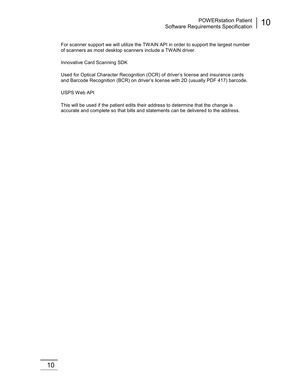For scanner support we will utilize the TWAIN API in order to support the largest number of scanners as most desktop scanners include a TWAIN driver.

Innovative Card Scanning SDK

Used for Optical Character Recognition (OCR) of driver's license and insurance cards and Barcode Recognition (BCR) on driver's license with 2D (usually PDF 417) barcode.

USPS Web API

This will be used if the patient edits their address to determine that the change is accurate and complete so that bills and statements can be delivered to the address.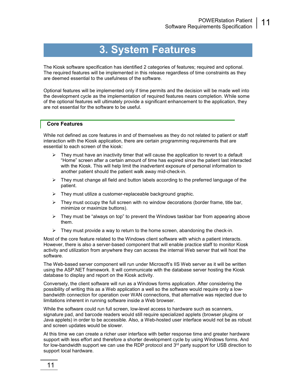## **3. System Features**

The Kiosk software specification has identified 2 categories of features; required and optional. The required features will be implemented in this release regardless of time constraints as they are deemed essential to the usefulness of the software.

Optional features will be implemented only if time permits and the decision will be made well into the development cycle as the implementation of required features nears completion. While some of the optional features will ultimately provide a significant enhancement to the application, they are not essential for the software to be useful.

#### **Core Features**

While not defined as core features in and of themselves as they do not related to patient or staff interaction with the Kiosk application, there are certain programming requirements that are essential to each screen of the kiosk:

- $\triangleright$  They must have an inactivity timer that will cause the application to revert to a default "Home" screen after a certain amount of time has expired since the patient last interacted with the Kiosk. This will help limit the inadvertent exposure of personal information to another patient should the patient walk away mid-check-in.
- $\triangleright$  They must change all field and button labels according to the preferred language of the patient.
- $\triangleright$  They must utilize a customer-replaceable background graphic.
- $\triangleright$  They must occupy the full screen with no window decorations (border frame, title bar, minimize or maximize buttons).
- $\triangleright$  They must be "always on top" to prevent the Windows taskbar bar from appearing above them.
- $\triangleright$  They must provide a way to return to the home screen, abandoning the check-in.

Most of the core feature related to the Windows client software with which a patient interacts. However, there is also a server-based component that will enable practice staff to monitor Kiosk activity and utilization from anywhere they can access the internal Web server that will host the software.

The Web-based server component will run under Microsoft's IIS Web server as it will be written using the ASP.NET framework. It will communicate with the database server hosting the Kiosk database to display and report on the Kiosk activity.

Conversely, the client software will run as a Windows forms application. After considering the possibility of writing this as a Web application a well so the software would require only a lowbandwidth connection for operation over WAN connections, that alternative was rejected due to limitations inherent in running software inside a Web browser.

While the software could run full screen, low-level access to hardware such as scanners, signature pad, and barcode readers would still require specialized applets (browser plugins or Java applets) in order to be accessible. Also, a Web-hosted user interface would not be as robust and screen updates would be slower.

At this time we can create a richer user interface with better response time and greater hardware support with less effort and therefore a shorter development cycle by using Windows forms. And for low-bandwidth support we can use the RDP protocol and  $3<sup>rd</sup>$  party support for USB direction to support local hardware.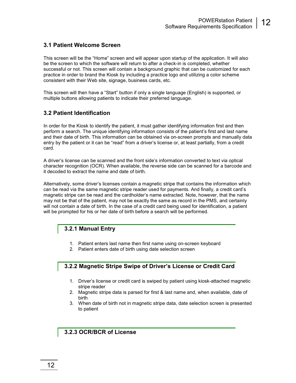#### **3.1 Patient Welcome Screen**

This screen will be the "Home" screen and will appear upon startup of the application. It will also be the screen to which the software will return to after a check-in is completed, whether successful or not. This screen will contain a background graphic that can be customized for each practice in order to brand the Kiosk by including a practice logo and utilizing a color scheme consistent with their Web site, signage, business cards, etc.

This screen will then have a "Start" button if only a single language (English) is supported, or multiple buttons allowing patients to indicate their preferred language.

#### **3.2 Patient Identification**

In order for the Kiosk to identify the patient, it must gather identifying information first and then perform a search. The unique identifying information consists of the patient's first and last name and their date of birth. This information can be obtained via on-screen prompts and manually data entry by the patient or it can be "read" from a driver's license or, at least partially, from a credit card.

A driver's license can be scanned and the front side's information converted to text via optical character recognition (OCR). When available, the reverse side can be scanned for a barcode and it decoded to extract the name and date of birth.

Alternatively, some driver's licenses contain a magnetic stripe that contains the information which can be read via the same magnetic stripe reader used for payments. And finally, a credit card's magnetic stripe can be read and the cardholder's name extracted. Note, however, that the name may not be that of the patient, may not be exactly the same as record in the PMS, and certainly will not contain a date of birth. In the case of a credit card being used for identification, a patient will be prompted for his or her date of birth before a search will be performed.

#### **3.2.1 Manual Entry**

- 1. Patient enters last name then first name using on-screen keyboard
- 2. Patient enters date of birth using date selection screen

#### **3.2.2 Magnetic Stripe Swipe of Driver's License or Credit Card**

- 1. Driver's license or credit card is swiped by patient using kiosk-attached magnetic stripe reader
- 2. Magnetic stripe data is parsed for first & last name and, when available, date of birth
- 3. When date of birth not in magnetic stripe data, date selection screen is presented to patient

#### **3.2.3 OCR/BCR of License**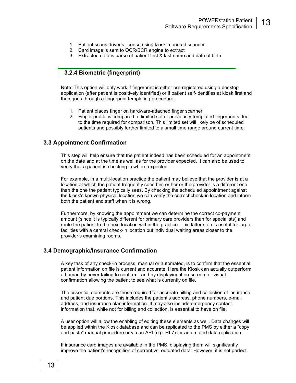- 1. Patient scans driver's license using kiosk-mounted scanner
- 2. Card image is sent to OCR/BCR engine to extract
- 3. Extracted data is parse of patient first & last name and date of birth

#### **3.2.4 Biometric (fingerprint)**

Note: This option will only work if fingerprint is either pre-registered using a desktop application (after patient is positively identified) or if patient self-identifies at kiosk first and then goes through a fingerprint templating procedure.

- 1. Patient places finger on hardware-attached finger scanner
- 2. Finger profile is compared to limited set of previously-templated fingerprints due to the time required for comparison. This limited set will likely be of scheduled patients and possibly further limited to a small time range around current time.

#### **3.3 Appointment Confirmation**

This step will help ensure that the patient indeed has been scheduled for an appointment on the date and at the time as well as for the provider expected. It can also be used to verify that a patient is checking in where expected.

For example, in a multi-location practice the patient may believe that the provider is at a location at which the patient frequently sees him or her or the provider is a different one than the one the patient typically sees. By checking the scheduled appointment against the kiosk's known physical location we can verify the correct check-in location and inform both the patient and staff when it is wrong.

Furthermore, by knowing the appointment we can determine the correct co-payment amount (since it is typically different for primary care providers than for specialists) and route the patient to the next location within the practice. This latter step is useful for large facilities with a central check-in location but individual waiting areas closer to the provider's examining rooms.

#### **3.4 Demographic/Insurance Confirmation**

A key task of any check-in process, manual or automated, is to confirm that the essential patient information on file is current and accurate. Here the Kiosk can actually outperform a human by never failing to confirm it and by displaying it on-screen for visual confirmation allowing the patient to see what is currently on file.

The essential elements are those required for accurate billing and collection of insurance and patient due portions. This includes the patient's address, phone numbers, e-mail address, and insurance plan information. It may also include emergency contact information that, while not for billing and collection, is essential to have on file.

A user option will allow the enabling of editing these elements as well. Data changes will be applied within the Kiosk database and can be replicated to the PMS by either a "copy and paste" manual procedure or via an API (e.g. HL7) for automated data replication.

If insurance card images are available in the PMS, displaying them will significantly improve the patient's recognition of current vs. outdated data. However, it is not perfect.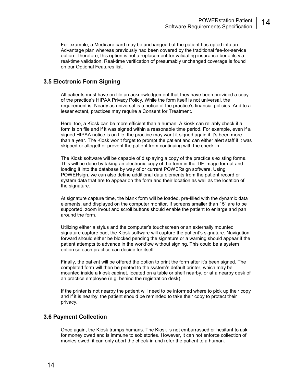For example, a Medicare card may be unchanged but the patient has opted into an Advantage plan whereas previously had been covered by the traditional fee-for-service option. Therefore, this option is not a replacement for validating insurance benefits via real-time validation. Real-time verification of presumably unchanged coverage is found on our Optional Features list.

#### **3.5 Electronic Form Signing**

All patients must have on file an acknowledgement that they have been provided a copy of the practice's HIPAA Privacy Policy. While the form itself is not universal, the requirement is. Nearly as universal is a notice of the practice's financial policies. And to a lesser extent, practices may require a Consent for Treatment.

Here, too, a Kiosk can be more efficient than a human. A kiosk can reliably check if a form is on file and if it was signed within a reasonable time period. For example, even if a signed HIPAA notice is on file, the practice may want it signed again if it's been more than a year. The Kiosk won't forget to prompt the patient and can either alert staff if it was skipped or altogether prevent the patient from continuing with the check-in.

The Kiosk software will be capable of displaying a copy of the practice's existing forms. This will be done by taking an electronic copy of the form in the TIF image format and loading it into the database by way of or current POWERsign software. Using POWERsign, we can also define additional data elements from the patient record or system data that are to appear on the form and their location as well as the location of the signature.

At signature capture time, the blank form will be loaded, pre-filled with the dynamic data elements, and displayed on the computer monitor. If screens smaller than 15" are to be supported, zoom in/out and scroll buttons should enable the patient to enlarge and pan around the form.

Utilizing either a stylus and the computer's touchscreen or an externally mounted signature capture pad, the Kiosk software will capture the patient's signature. Navigation forward should either be blocked pending the signature or a warning should appear if the patient attempts to advance in the workflow without signing. This could be a system option so each practice can decide for itself.

Finally, the patient will be offered the option to print the form after it's been signed. The completed form will then be printed to the system's default printer, which may be mounted inside a kiosk cabinet, located on a table or shelf nearby, or at a nearby desk of an practice employee (e.g. behind the registration desk).

If the printer is not nearby the patient will need to be informed where to pick up their copy and if it is nearby, the patient should be reminded to take their copy to protect their privacy.

#### **3.6 Payment Collection**

Once again, the Kiosk trumps humans. The Kiosk is not embarrassed or hesitant to ask for money owed and is immune to sob stories. However, it can not enforce collection of monies owed; it can only abort the check-in and refer the patient to a human.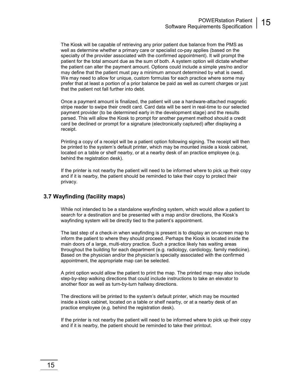The Kiosk will be capable of retrieving any prior patient due balance from the PMS as well as determine whether a primary care or specialist co-pay applies (based on the specialty of the provider associated with the confirmed appointment). It will prompt the patient for the total amount due as the sum of both. A system option will dictate whether the patient can alter the payment amount. Options could include a simple yes/no and/or may define that the patient must pay a minimum amount determined by what is owed. We may need to allow for unique, custom formulas for each practice where some may prefer that at least a portion of a prior balance be paid as well as current charges or just that the patient not fall further into debt.

Once a payment amount is finalized, the patient will use a hardware-attached magnetic stripe reader to swipe their credit card. Card data will be sent in real-time to our selected payment provider (to be determined early in the development stage) and the results parsed. This will allow the Kiosk to prompt for another payment method should a credit card be declined or prompt for a signature (electronically captured) after displaying a receipt.

Printing a copy of a receipt will be a patient option following signing. The receipt will then be printed to the system's default printer, which may be mounted inside a kiosk cabinet, located on a table or shelf nearby, or at a nearby desk of an practice employee (e.g. behind the registration desk).

If the printer is not nearby the patient will need to be informed where to pick up their copy and if it is nearby, the patient should be reminded to take their copy to protect their privacy.

#### **3.7 Wayfinding (facility maps)**

While not intended to be a standalone wayfinding system, which would allow a patient to search for a destination and be presented with a map and/or directions, the Kiosk's wayfinding system will be directly tied to the patient's appointment.

The last step of a check-in when wayfinding is present is to display an on-screen map to inform the patient to where they should proceed. Perhaps the Kiosk is located inside the main doors of a large, multi-story practice. Such a practice likely has waiting areas throughout the building for each department (e.g. radiology, cardiology, family medicine). Based on the physician and/or the physician's specialty associated with the confirmed appointment, the appropriate map can be selected.

A print option would allow the patient to print the map. The printed map may also include step-by-step walking directions that could include instructions to take an elevator to another floor as well as turn-by-turn hallway directions.

The directions will be printed to the system's default printer, which may be mounted inside a kiosk cabinet, located on a table or shelf nearby, or at a nearby desk of an practice employee (e.g. behind the registration desk).

If the printer is not nearby the patient will need to be informed where to pick up their copy and if it is nearby, the patient should be reminded to take their printout.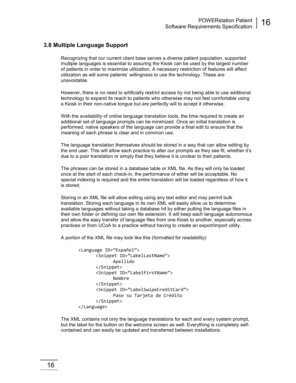#### **3.8 Multiple Language Support**

Recognizing that our current client base serves a diverse patient population, supported multiple languages is essential to assuring the Kiosk can be used by the largest number of patients in order to maximize utilization. A necessary restriction of features will affect utilization as will some patients' willingness to use the technology. These are unavoidable.

However, there is no need to artificially restrict access by not being able to use additional technology to expand its reach to patients who otherwise may not feel comfortable using a Kiosk in their non-native tongue but are perfectly will to accept it otherwise.

With the availability of online language translation tools, the time required to create an additional set of language prompts can be minimized. Once an initial translation is performed, native speakers of the language can provide a final edit to ensure that the meaning of each phrase is clear and in common use.

The language translation themselves should be stored in a way that can allow editing by the end user. This will allow each practice to alter our prompts as they see fit, whether it's due to a poor translation or simply that they believe it is unclear to their patients.

The phrases can be stored in a database table or XML file. As they will only be loaded once at the start of each check-in, the performance of either will be acceptable. No special indexing is required and the entire translation will be loaded regardless of how it is stored.

Storing in an XML file will allow editing using any text editor and may permit bulk translation. Storing each language in its own XML will easily allow us to determine available languages without taking a database hit by either putting the language files in their own folder or defining our own file extension. It will keep each language autonomous and allow the easy transfer of language files from one Kiosk to another, especially across practices or from UCoA to a practice without having to create an export/import utility.

A portion of the XML file may look like this (formatted for readability):

```
<Language ID="Español"> 
       <Snippet ID="LabelLastName"> 
              Apellido 
       </Snippet> 
       <Snippet ID="LabelFirstName"> 
              Nombre 
       </Snippet> 
       <Snippet ID="LabelSwipeCreditCard"> 
              Pase su Tarjeta de Crédito 
       </Snippet> 
</Language>
```
The XML contains not only the language translations for each and every system prompt, but the label for the button on the welcome screen as well. Everything is completely selfcontained and can easily be updated and transferred between installations.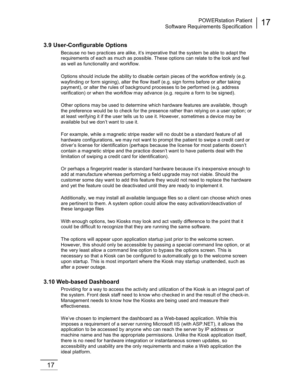#### **3.9 User-Configurable Options**

Because no two practices are alike, it's imperative that the system be able to adapt the requirements of each as much as possible. These options can relate to the look and feel as well as functionality and workflow.

Options should include the ability to disable certain pieces of the workflow entirely (e.g. wayfinding or form signing), alter the flow itself (e.g. sign forms before or after taking payment), or alter the rules of background processes to be performed (e.g. address verification) or when the workflow may advance (e.g. require a form to be signed).

Other options may be used to determine which hardware features are available, though the preference would be to check for the presence rather than relying on a user option; or at least verifying it if the user tells us to use it. However, sometimes a device may be available but we don't want to use it.

For example, while a magnetic stripe reader will no doubt be a standard feature of all hardware configurations, we may not want to prompt the patient to swipe a credit card or driver's license for identification (perhaps because the license for most patients doesn't contain a magnetic stripe and the practice doesn't want to have patients deal with the limitation of swiping a credit card for identification).

Or perhaps a fingerprint reader is standard hardware because it's inexpensive enough to add at manufacture whereas performing a field upgrade may not viable. Should the customer some day want to add this feature they would not need to replace the hardware and yet the feature could be deactivated until they are ready to implement it.

Additionally, we may install all available language files so a client can choose which ones are pertinent to them. A system option could allow the easy activation/deactivation of these language files

With enough options, two Kiosks may look and act vastly difference to the point that it could be difficult to recognize that they are running the same software.

The options will appear upon application startup just prior to the welcome screen. However, this should only be accessible by passing a special command line option, or at the very least allow a command line option to bypass the options screen. This is necessary so that a Kiosk can be configured to automatically go to the welcome screen upon startup. This is most important where the Kiosk may startup unattended, such as after a power outage.

#### **3.10 Web-based Dashboard**

Providing for a way to access the activity and utilization of the Kiosk is an integral part of the system. Front desk staff need to know who checked in and the result of the check-in. Management needs to know how the Kiosks are being used and measure their effectiveness.

We've chosen to implement the dashboard as a Web-based application. While this imposes a requirement of a server running Microsoft IIS (with ASP.NET), it allows the application to be accessed by anyone who can reach the server by IP address or machine name and has the appropriate permissions. Unlike the Kiosk application itself, there is no need for hardware integration or instantaneous screen updates, so accessibility and usability are the only requirements and make a Web application the ideal platform.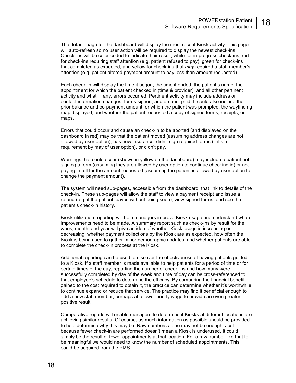The default page for the dashboard will display the most recent Kiosk activity. This page will auto-refresh so no user action will be required to display the newest check-ins. Check-ins will be color-coded to indicate their result; white for in-progress check-ins, red for check-ins requiring staff attention (e.g. patient refused to pay), green for check-ins that completed as expected, and yellow for check-ins that *may* required a staff member's attention (e.g. patient altered payment amount to pay less than amount requested).

Each check-in will display the time it began, the time it ended, the patient's name, the appointment for which the patient checked in (time & provider), and all other pertinent activity and what, if any, errors occurred. Pertinent activity may include address or contact information changes, forms signed, and amount paid. It could also include the prior balance and co-payment amount for which the patient was prompted, the wayfinding map displayed, and whether the patient requested a copy of signed forms, receipts, or maps.

Errors that could occur and cause an check-in to be aborted (and displayed on the dashboard in red) may be that the patient moved (assuming address changes are not allowed by user option), has new insurance, didn't sign required forms (if it's a requirement by may of user option), or didn't pay.

Warnings that could occur (shown in yellow on the dashboard) may include a patient not signing a form (assuming they are allowed by user option to continue checking in) or not paying in full for the amount requested (assuming the patient is allowed by user option to change the payment amount).

The system will need sub-pages, accessible from the dashboard, that link to details of the check-in. These sub-pages will allow the staff to view a payment receipt and issue a refund (e.g. if the patient leaves without being seen), view signed forms, and see the patient's check-in history.

Kiosk utilization reporting will help managers improve Kiosk usage and understand where improvements need to be made. A summary report such as check-ins by result for the week, month, and year will give an idea of whether Kiosk usage is increasing or decreasing, whether payment collections by the Kiosk are as expected, how often the Kiosk is being used to gather minor demographic updates, and whether patients are able to complete the check-in process at the Kiosk.

Additional reporting can be used to discover the effectiveness of having patients guided to a Kiosk. If a staff member is made available to help patients for a period of time or for certain times of the day, reporting the number of check-ins and how many were successfully completed by day of the week and time of day can be cross-referenced to that employee's schedule to determine the efficacy. By comparing the financial benefit gained to the cost required to obtain it, the practice can determine whether it's worthwhile to continue expand or reduce that service. The practice may find it beneficial enough to add a new staff member, perhaps at a lower hourly wage to provide an even greater positive result.

Comparative reports will enable managers to determine if Kiosks at different locations are achieving similar results. Of course, as much information as possible should be provided to help determine why this may be. Raw numbers alone may not be enough. Just because fewer check-in are performed doesn't mean a Kiosk is underused. It could simply be the result of fewer appointments at that location. For a raw number like that to be meaningful we would need to know the number of scheduled appointments. This could be acquired from the PMS.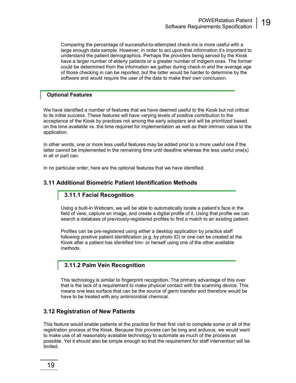Comparing the percentage of successful-to-attempted check-ins is more useful with a large enough data sample. However, in order to act upon that information it's important to understand the patient demographics. Perhaps the providers being served by the Kiosk have a larger number of elderly patients or a greater number of indigent ones. The former could be determined from the information we gather during check-in and the average age of those checking in can be reported, but the latter would be harder to determine by the software and would require the user of the data to make their own conclusion.

#### **Optional Features**

We have identified a number of features that we have deemed useful to the Kiosk but not critical to its initial success. These features will have varying levels of positive contribution to the acceptance of the Kiosk by practices not among the early adopters and will be prioritized based on the time available vs. the time required for implementation as well as their intrinsic value to the application.

In other words, one or more less useful features may be added prior to a more useful one if the latter cannot be implemented in the remaining time until deadline whereas the less useful one(s) in all or part can.

In no particular order, here are the optional features that we have identified.

#### **3.11 Additional Biometric Patient Identification Methods**

#### **3.11.1 Facial Recognition**

Using a built-in Webcam, we will be able to automatically locate a patient's face in the field of view, capture an image, and create a digital profile of it. Using that profile we can search a database of previously-registered profiles to find a match to an existing patient.

Profiles can be pre-registered using either a desktop application by practice staff following positive patient identification (e.g. by photo ID) or one can be created at the Kiosk after a patient has identified him- or herself using one of the other available methods.

#### **3.11.2 Palm Vein Recognition**

This technology is similar to fingerprint recognition. The primary advantage of this over that is the lack of a requirement to make physical contact with the scanning device. This means one less surface that can be the source of germ transfer and therefore would be have to be treated with any antimicrobial chemical.

#### **3.12 Registration of New Patients**

This feature would enable patients at the practice for their first visit to complete some or all of the registration process at the Kiosk. Because this process can be long and arduous, we would want to make use of all reasonably available technology to automate as much of the process as possible. Yet it should also be simple enough so that the requirement for staff intervention will be limited.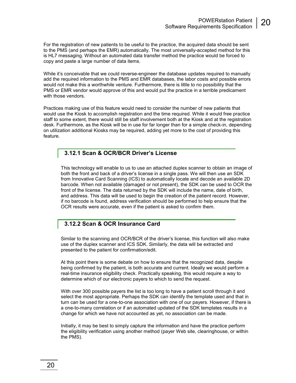For the registration of new patients to be useful to the practice, the acquired data should be sent to the PMS (and perhaps the EMR) automatically. The most universally-accepted method for this is HL7 messaging. Without an automated data transfer method the practice would be forced to copy and paste a large number of data items.

While it's conceivable that we could reverse-engineer the database updates required to manually add the required information to the PMS and EMR databases, the labor costs and possible errors would not make this a worthwhile venture. Furthermore, there is little to no possibility that the PMS or EMR vendor would approve of this and would put the practice in a terrible predicament with those vendors.

Practices making use of this feature would need to consider the number of new patients that would use the Kiosk to accomplish registration and the time required. While it would free practice staff to some extent, there would still be staff involvement both at the Kiosk and at the registration desk. Furthermore, as the Kiosk will be in use for far longer than for a simple check-in, depending on utilization additional Kiosks may be required, adding yet more to the cost of providing this feature.

#### **3.12.1 Scan & OCR/BCR Driver's License**

This technology will enable to us to use an attached duplex scanner to obtain an image of both the front and back of a driver's license in a single pass. We will then use an SDK from Innovative Card Scanning (ICS) to automatically locate and decode an available 2D barcode. When not available (damaged or not present), the SDK can be used to OCR the front of the license. The data returned by the SDK will include the name, date of birth, and address. This data will be used to begin the creation of the patient record. However, if no barcode is found, address verification should be performed to help ensure that the OCR results were accurate, even if the patient is asked to confirm them.

#### **3.12.2 Scan & OCR Insurance Card**

Similar to the scanning and OCR/BCR of the driver's license, this function will also make use of the duplex scanner and ICS SDK. Similarly, the data will be extracted and presented to the patient for confirmation/edit.

At this point there is some debate on how to ensure that the recognized data, despite being confirmed by the patient, is both accurate and current. Ideally we would perform a real-time insurance eligibility check. Practically speaking, this would require a way to determine which of our electronic payers to which to send the request.

With over 300 possible payers the list is too long to have a patient scroll through it and select the most appropriate. Perhaps the SDK can identify the template used and that in turn can be used for a one-to-one association with one of our payers. However, if there is a one-to-many correlation or if an automated updated of the SDK templates results in a change for which we have not accounted as yet, no association can be made.

Initially, it may be best to simply capture the information and have the practice perform the eligibility verification using another method (payer Web site, clearinghouse, or within the PMS).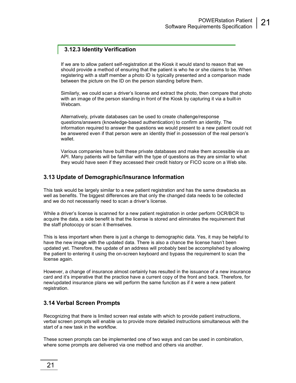#### **3.12.3 Identity Verification**

If we are to allow patient self-registration at the Kiosk it would stand to reason that we should provide a method of ensuring that the patient is who he or she claims to be. When registering with a staff member a photo ID is typically presented and a comparison made between the picture on the ID on the person standing before them.

Similarly, we could scan a driver's license and extract the photo, then compare that photo with an image of the person standing in front of the Kiosk by capturing it via a built-in Webcam.

Alternatively, private databases can be used to create challenge/response questions/answers (knowledge-based authentication) to confirm an identity. The information required to answer the questions we would present to a new patient could not be answered even if that person were an identity thief in possession of the real person's wallet.

Various companies have built these private databases and make them accessible via an API. Many patients will be familiar with the type of questions as they are similar to what they would have seen if they accessed their credit history or FICO score on a Web site.

#### **3.13 Update of Demographic/Insurance Information**

This task would be largely similar to a new patient registration and has the same drawbacks as well as benefits. The biggest differences are that only the changed data needs to be collected and we do not necessarily need to scan a driver's license.

While a driver's license is scanned for a new patient registration in order perform OCR/BCR to acquire the data, a side benefit is that the license is stored and eliminates the requirement that the staff photocopy or scan it themselves.

This is less important when there is just a change to demographic data. Yes, it may be helpful to have the new image with the updated data. There is also a chance the license hasn't been updated yet. Therefore, the update of an address will probably best be accomplished by allowing the patient to entering it using the on-screen keyboard and bypass the requirement to scan the license again.

However, a change of insurance almost certainly has resulted in the issuance of a new insurance card and it's imperative that the practice have a current copy of the front and back. Therefore, for new/updated insurance plans we will perform the same function as if it were a new patient registration.

#### **3.14 Verbal Screen Prompts**

Recognizing that there is limited screen real estate with which to provide patient instructions, verbal screen prompts will enable us to provide more detailed instructions simultaneous with the start of a new task in the workflow.

These screen prompts can be implemented one of two ways and can be used in combination, where some prompts are delivered via one method and others via another.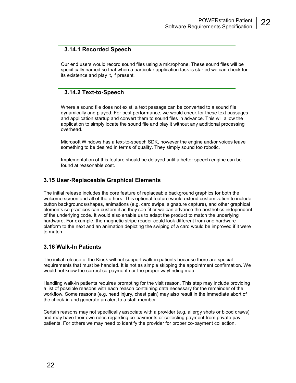#### **3.14.1 Recorded Speech**

Our end users would record sound files using a microphone. These sound files will be specifically named so that when a particular application task is started we can check for its existence and play it, if present.

#### **3.14.2 Text-to-Speech**

Where a sound file does not exist, a text passage can be converted to a sound file dynamically and played. For best performance, we would check for these text passages and application startup and convert them to sound files in advance. This will allow the application to simply locate the sound file and play it without any additional processing overhead.

Microsoft Windows has a text-to-speech SDK, however the engine and/or voices leave something to be desired in terms of quality. They simply sound too robotic.

Implementation of this feature should be delayed until a better speech engine can be found at reasonable cost.

#### **3.15 User-Replaceable Graphical Elements**

The initial release includes the core feature of replaceable background graphics for both the welcome screen and all of the others. This optional feature would extend customization to include button backgrounds/shapes, animations (e.g. card swipe, signature capture), and other graphical elements so practices can custom it as they see fit or we can advance the aesthetics independent of the underlying code. It would also enable us to adapt the product to match the underlying hardware. For example, the magnetic stripe reader could look different from one hardware platform to the next and an animation depicting the swiping of a card would be improved if it were to match.

#### **3.16 Walk-In Patients**

The initial release of the Kiosk will not support walk-in patients because there are special requirements that must be handled. It is not as simple skipping the appointment confirmation. We would not know the correct co-payment nor the proper wayfinding map.

Handling walk-in patients requires prompting for the visit reason. This step may include providing a list of possible reasons with each reason containing data necessary for the remainder of the workflow. Some reasons (e.g. head injury, chest pain) may also result in the immediate abort of the check-in and generate an alert to a staff member.

Certain reasons may not specifically associate with a provider (e.g. allergy shots or blood draws) and may have their own rules regarding co-payments or collecting payment from private pay patients. For others we may need to identify the provider for proper co-payment collection.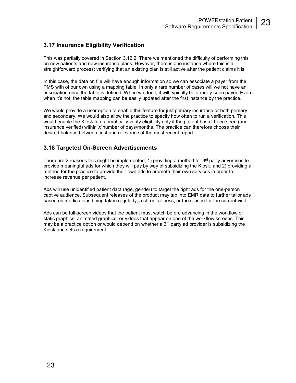#### **3.17 Insurance Eligibility Verification**

This was partially covered in Section 3.12.2. There we mentioned the difficulty of performing this on new patients and new insurance plans. However, there is one instance where this is a straightforward process; verifying that an existing plan is still active after the patient claims it is.

In this case, the data on file will have enough information so we can associate a payer from the PMS with of our own using a mapping table. In only a rare number of cases will we not have an association once the table is defined. When we don't, it will typically be a rarely-seen payer. Even when it's not, the table mapping can be easily updated after the first instance by the practice.

We would provide a user option to enable this feature for just primary insurance or both primary and secondary. We would also allow the practice to specify how often to run a verification. This would enable the Kiosk to automatically verify eligibility only if the patient hasn't been seen (and insurance verified) within *X* number of days/months. The practice can therefore choose their desired balance between cost and relevance of the most recent report.

#### **3.18 Targeted On-Screen Advertisements**

There are 2 reasons this might be implemented; 1) providing a method for  $3<sup>rd</sup>$  party advertises to provide meaningful ads for which they will pay by way of subsidizing the Kiosk; and 2) providing a method for the practice to provide their own ads to promote their own services in order to increase revenue per patient.

Ads will use unidentified patient data (age, gender) to target the right ads for the one-person captive audience. Subsequent releases of the product may tap into EMR data to further tailor ads based on medications being taken regularly, a chronic illness, or the reason for the current visit.

Ads can be full-screen videos that the patient must watch before advancing in the workflow or static graphics, animated graphics, or videos that appear on one of the workflow screens. This may be a practice option or would depend on whether a  $3<sup>rd</sup>$  party ad provider is subsidizing the Kiosk and sets a requirement.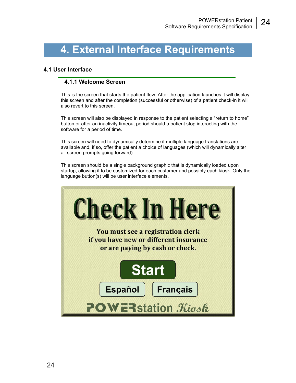## **4. External Interface Requirements**

#### **4.1 User Interface**

#### **4.1.1 Welcome Screen**

This is the screen that starts the patient flow. After the application launches it will display this screen and after the completion (successful or otherwise) of a patient check-in it will also revert to this screen.

This screen will also be displayed in response to the patient selecting a "return to home" button or after an inactivity timeout period should a patient stop interacting with the software for a period of time.

This screen will need to dynamically determine if multiple language translations are available and, if so, offer the patient a choice of languages (which will dynamically alter all screen prompts going forward).

This screen should be a single background graphic that is dynamically loaded upon startup, allowing it to be customized for each customer and possibly each kiosk. Only the language button(s) will be user interface elements.

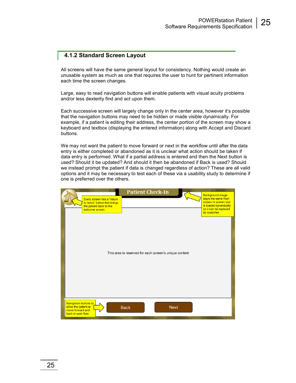#### **4.1.2 Standard Screen Layout**

All screens will have the same general layout for consistency. Nothing would create an unusable system as much as one that requires the user to hunt for pertinent information each time the screen changes.

Large, easy to read navigation buttons will enable patients with visual acuity problems and/or less dexterity find and act upon them.

Each successive screen will largely change only in the center area, however it's possible that the navigation buttons may need to be hidden or made visible dynamically. For example, if a patient is editing their address, the center portion of the screen may show a keyboard and textbox (displaying the entered information) along with Accept and Discard buttons.

We may not want the patient to move forward or next in the workflow until after the data entry is either completed or abandoned as it is unclear what action should be taken if data entry is performed. What if a partial address is entered and then the Next button is used? Should it be updated? And should it then be abandoned if Back is used? Should we instead prompt the patient if data is changed regardless of action? These are all valid options and it may be necessary to test each of these via a usability study to determine if one is preferred over the others.

| Every screen has a "return<br>to home" button that brings<br>the patient back to the<br>welcome screen.      | <b>Patient Check-In</b>                                | <b>Background image</b><br>stays the same from<br>screen to screen and<br>is loaded dynamically<br>so it can be replaced<br>by customer. |
|--------------------------------------------------------------------------------------------------------------|--------------------------------------------------------|------------------------------------------------------------------------------------------------------------------------------------------|
|                                                                                                              | This area is reserved for each screen's unique content |                                                                                                                                          |
| <b>Navigation buttons to</b><br>allow the patient to<br><b>Back</b><br>move forward and<br>back in work flow | <b>Next</b>                                            |                                                                                                                                          |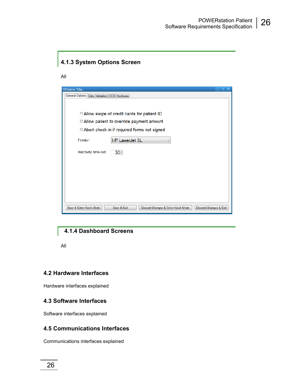#### **4.1.3 System Options Screen**

All

| Window Title            |                                                                             | 58 |  |  |  |
|-------------------------|-----------------------------------------------------------------------------|----|--|--|--|
|                         |                                                                             |    |  |  |  |
|                         | General Options   Data Validation   OCR   Hardware                          |    |  |  |  |
|                         |                                                                             |    |  |  |  |
|                         |                                                                             |    |  |  |  |
|                         | ■ Allow swipe of credit cards for patient ID                                |    |  |  |  |
|                         | ■ Allow patient to override payment amount                                  |    |  |  |  |
|                         |                                                                             |    |  |  |  |
|                         | □ Abort check-in if required forms not signed                               |    |  |  |  |
| Printer:                |                                                                             |    |  |  |  |
|                         | HP LaserJet 5L                                                              |    |  |  |  |
|                         |                                                                             |    |  |  |  |
| Inactivity time-out:    | 30 <sup>5</sup>                                                             |    |  |  |  |
|                         |                                                                             |    |  |  |  |
|                         |                                                                             |    |  |  |  |
|                         |                                                                             |    |  |  |  |
|                         |                                                                             |    |  |  |  |
|                         |                                                                             |    |  |  |  |
|                         |                                                                             |    |  |  |  |
|                         |                                                                             |    |  |  |  |
|                         |                                                                             |    |  |  |  |
| Save & Enter Kiock Mode | Save & Exit<br>Discard Changes & Enter Kiesk Mode<br>Discard Changes & Exit |    |  |  |  |
|                         |                                                                             |    |  |  |  |

#### **4.1.4 Dashboard Screens**

All

#### **4.2 Hardware Interfaces**

Hardware interfaces explained

#### **4.3 Software Interfaces**

Software interfaces explained

#### **4.5 Communications Interfaces**

Communications interfaces explained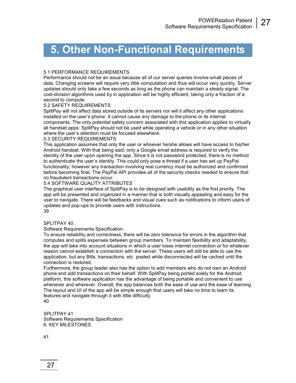## **5. Other Non-Functional Requirements**

#### 5.1 PERFORMANCE REQUIREMENTS

Performance should not be an issue because all of our server queries involve small pieces of data. Changing screens will require very little computation and thus will occur very quickly. Server updates should only take a few seconds as long as the phone can maintain a steady signal. The cost-division algorithms used by in application will be highly efficient, taking only a fraction of a second to compute.

#### 5.2 SAFETY REQUIREMENTS

SplitPay will not affect data stored outside of its servers nor will it affect any other applications installed on the user's phone. It cannot cause any damage to the phone or its internal components. The only potential safety concern associated with this application applies to virtually all handset apps: SplitPay should not be used while operating a vehicle or in any other situation where the user's attention must be focused elsewhere.

#### 5.3 SECURITY REQUIREMENTS

This application assumes that only the user or whoever he/she allows will have access to his/her Android handset. With that being said, only a Google email address is required to verify the identity of the user upon opening the app. Since it is not password protected, there is no method to authenticate the user's identity. This could only pose a thread if a user has set up PayPal functionality, however any transaction involving real currency must be authorized and confirmed before becoming final. The PayPal API provides all of the security checks needed to ensure that no fraudulent transactions occur.

#### 5.4 SOFTWARE QUALITY ATTRIBUTES

The graphical user interface of SplitPay is to be designed with usability as the first priority. The app will be presented and organized in a manner that is both visually appealing and easy for the user to navigate. There will be feedbacks and visual cues such as notifications to inform users of updates and pop-ups to provide users with instructions. 39

#### SPLITPAY 40

#### Software Requirements Specification

To ensure reliability and correctness, there will be zero tolerance for errors in the algorithm that computes and splits expenses between group members. To maintain flexibility and adaptability, the app will take into account situations in which a user loses internet connection or for whatever reason cannot establish a connection with the server. These users will still be able to use the application, but any Bills, transactions, etc. posted while disconnected will be cached until the connection is restored.

Furthermore, the group leader also has the option to add members who do not own an Android phone and add transactions on their behalf. With SplitPay being ported solely for the Android platform, this software application has the advantage of being portable and convenient to use whenever and wherever. Overall, the app balances both the ease of use and the ease of learning. The layout and UI of the app will be simple enough that users will take no time to learn its features and navigate through it with little difficulty. 40

SPLITPAY 41 Software Requirements Specification 6. KEY MILESTONES

41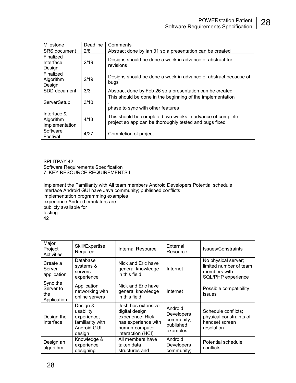| Milestone                                  | Deadline | Comments                                                                                                            |  |  |
|--------------------------------------------|----------|---------------------------------------------------------------------------------------------------------------------|--|--|
| <b>SRS</b> document                        | 2/8      | Abstract done by ian 31 so a presentation can be created                                                            |  |  |
| Finalized<br>Interface<br>Design           | 2/19     | Designs should be done a week in advance of abstract for<br>revisions                                               |  |  |
| Finalized<br>Algorithm<br>Design           | 2/19     | Designs should be done a week in advance of abstract because of<br>bugs                                             |  |  |
| SDD document                               | 3/3      | Abstract done by Feb 26 so a presentation can be created                                                            |  |  |
| ServerSetup                                | 3/10     | This should be done in the beginning of the implementation<br>phase to sync with other features                     |  |  |
| Interface &<br>Algorithm<br>Implementation | 4/13     | This should be completed two weeks in advance of complete<br>project so app can be thoroughly tested and bugs fixed |  |  |
| Software<br>Festival                       | 4/27     | Completion of project                                                                                               |  |  |

SPLITPAY 42 Software Requirements Specification 7. KEY RESOURCE REQUIREMENTS I

Implement the Familiarity with All team members Android Developers Potential schedule interface Android GUI have Java community; published conflicts implementation programming examples experience Android emulators are publicly available for testing 42

| Major<br>Project<br><b>Activities</b>       | Skill/Expertise<br>Required                                                              | Internal Resource                                                                                                      | External<br>Resource                                                | Issues/Constraints                                                                  |
|---------------------------------------------|------------------------------------------------------------------------------------------|------------------------------------------------------------------------------------------------------------------------|---------------------------------------------------------------------|-------------------------------------------------------------------------------------|
| Create a<br>Server<br>application           | Database<br>systems &<br>servers<br>experience                                           | Nick and Eric have<br>general knowledge<br>in this field                                                               | Internet                                                            | No physical server;<br>limited number of team<br>members with<br>SQL/PHP experience |
| Sync the<br>Server to<br>the<br>Application | Application<br>networking with<br>online servers                                         | Nick and Eric have<br>general knowledge<br>in this field                                                               | Internet                                                            | Possible compatibility<br>issues                                                    |
| Design the<br>Interface                     | Design &<br>usability<br>experience;<br>familiarity with<br><b>Android GUI</b><br>design | Josh has extensive<br>digital design<br>experience; Rick<br>has experience with<br>human-computer<br>interaction (HCI) | Android<br><b>Developers</b><br>community;<br>published<br>examples | Schedule conflicts;<br>physical constraints of<br>handset screen<br>resolution      |
| Design an<br>algorithm                      | Knowledge &<br>experience<br>designing                                                   | All members have<br>taken data<br>structures and                                                                       | Android<br><b>Developers</b><br>community;                          | Potential schedule<br>conflicts                                                     |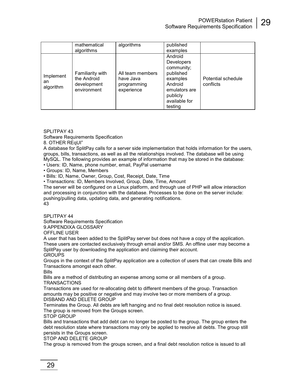|                              | mathematical<br>algorithms                                    | algorithms                                                 | published<br>examples                                                                                                                   |                                 |
|------------------------------|---------------------------------------------------------------|------------------------------------------------------------|-----------------------------------------------------------------------------------------------------------------------------------------|---------------------------------|
| Implement<br>an<br>algorithm | Familiarity with<br>the Android<br>development<br>environment | All team members<br>have Java<br>programming<br>experience | Android<br><b>Developers</b><br>community;<br>published<br>examples<br>Android<br>emulators are<br>publicly<br>available for<br>testing | Potential schedule<br>conflicts |

SPI ITPAY 43

Software Requirements Specification

8. OTHER REqUI"

A database for SplitPay calls for a server side implementation that holds information for the users, groups, bills, transactions, as well as all the relationships involved. The database will be using MySQL. The following provides an example of information that may be stored in the database:

• Users: ID, Name, phone number, email, PayPal username

• Groups: ID, Name, Members

• Bills: ID, Name, Owner, Group, Cost, Receipt, Date, Time

• Transactions: ID, Members Involved, Group, Date, Time, Amount

The server will be configured on a Linux platform, and through use of PHP will allow interaction and processing in conjunction with the database. Processes to be done on the server include: pushing/pulling data, updating data, and generating notifications.

43

#### SPLITPAY 44

Software Requirements Specification

9.APPENDIXA GLOSSARY

OFFLINE USER

A user that has been added to the SplitPay server but does not have a copy of the application. These users are contacted exclusively through email and/or SMS. An offline user may become a SplitPay user by downloading the application and claiming their account. **GROUPS** 

Groups in the context of the SplitPay application are a collection of users that can create Bills and Transactions amongst each other.

Bills

Bills are a method of distributing an expense among some or all members of a group.

TRANSACTIONS

Transactions are used for re-allocating debt to different members of the group. Transaction amounts may be positive or negative and may involve two or more members of a group. DISBAND AND DELETE GROUP

Terminates the Group. All debts are left hanging and no final debt resolution notice is issued. The group is removed from the Groups screen.

STOP GROUP

Bills and transactions that add debt can no longer be posted to the group. The group enters the debt resolution state where transactions may only be applied to resolve all debts. The group still persists in the Groups screen.

STOP AND DELETE GROUP

The group is removed from the groups screen, and a final debt resolution notice is issued to all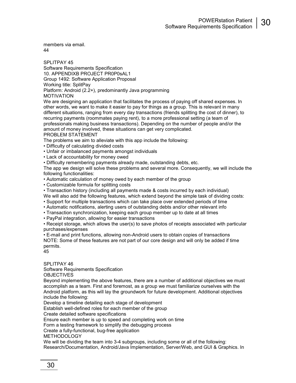members via email. 44

SPLITPAY 45 Software Requirements Specification 10. APPENDIXB PROJECT PR0P0sAL1 Group 1492: Software Application Proposal Working title: SplitPay Platform: Android (2.2+), predominantly Java programming MOTIVATION

We are designing an application that facilitates the process of paying off shared expenses. In other words, we want to make it easier to pay for things as a group. This is relevant in many different situations, ranging from every day transactions (friends splitting the cost of dinner), to recurring payments (roommates paying rent), to a more professional setting (a team of professionals making business transactions). Depending on the number of people and/or the amount of money involved, these situations can get very complicated. PROBLEM STATEMENT

The problems we aim to alleviate with this app include the following:

- Difficulty of calculating divided costs
- Unfair or imbalanced payments amongst individuals
- Lack of accountability for money owed
- Difficulty remembering payments already made, outstanding debts, etc.

The app we design will solve these problems and several more. Consequently, we will include the following functionalities:

- Automatic calculation of money owed by each member of the group
- Customizable formula for splitting costs

• Transaction history (including all payments made & costs incurred by each individual) We will also add the following features, which extend beyond the simple task of dividing costs:

- Support for multiple transactions which can take place over extended periods of time
- Automatic notifications, alerting users of outstanding debts and/or other relevant info
- Transaction synchronization, keeping each group member up to date at all times

• PayPal integration, allowing for easier transactions

• Receipt storage, which allows the user(s) to save photos of receipts associated with particular purchases/expenses

• E-mail and print functions, allowing non-Android users to obtain copies of transactions NOTE: Some of these features are not part of our core design and will only be added if time permits. 45

#### SPLITPAY 46

Software Requirements Specification

OBJECTIVES

Beyond implementing the above features, there are a number of additional objectives we must accomplish as a team. First and foremost, as a group we must familiarize ourselves with the Android platform, as this will lay the groundwork for future development. Additional objectives include the following:

Develop a timeline detailing each stage of development

Establish well-defined roles for each member of the group

Create detailed software specifications

Ensure each member is up to speed and completing work on time

Form a testing framework to simplify the debugging process

Create a fully-functional, bug-free application

METHODOLOGY

We will be dividing the team into 3-4 subgroups, including some or all of the following: Research/Documentation, Android/Java Implementation, Server/Web, and GUI & Graphics. In